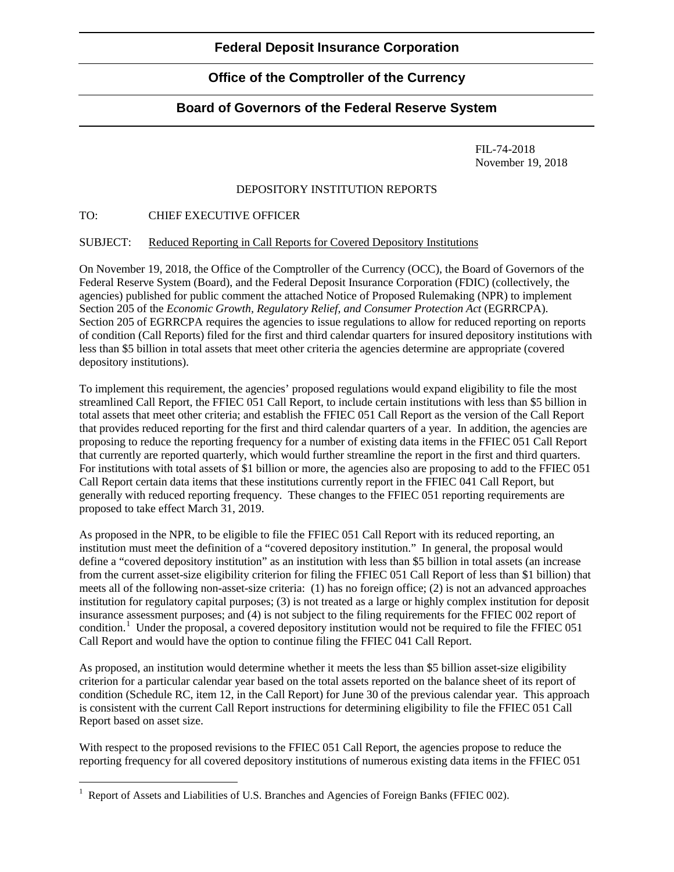# **Office of the Comptroller of the Currency**

# **Board of Governors of the Federal Reserve System**

FIL-74-2018 November 19, 2018

## DEPOSITORY INSTITUTION REPORTS

## TO: CHIEF EXECUTIVE OFFICER

## SUBJECT: Reduced Reporting in Call Reports for Covered Depository Institutions

On November 19, 2018, the Office of the Comptroller of the Currency (OCC), the Board of Governors of the Federal Reserve System (Board), and the Federal Deposit Insurance Corporation (FDIC) (collectively, the agencies) published for public comment the attached Notice of Proposed Rulemaking (NPR) to implement Section 205 of the *Economic Growth, Regulatory Relief, and Consumer Protection Act* (EGRRCPA). Section 205 of EGRRCPA requires the agencies to issue regulations to allow for reduced reporting on reports of condition (Call Reports) filed for the first and third calendar quarters for insured depository institutions with less than \$5 billion in total assets that meet other criteria the agencies determine are appropriate (covered depository institutions).

To implement this requirement, the agencies' proposed regulations would expand eligibility to file the most streamlined Call Report, the FFIEC 051 Call Report, to include certain institutions with less than \$5 billion in total assets that meet other criteria; and establish the FFIEC 051 Call Report as the version of the Call Report that provides reduced reporting for the first and third calendar quarters of a year. In addition, the agencies are proposing to reduce the reporting frequency for a number of existing data items in the FFIEC 051 Call Report that currently are reported quarterly, which would further streamline the report in the first and third quarters. For institutions with total assets of \$1 billion or more, the agencies also are proposing to add to the FFIEC 051 Call Report certain data items that these institutions currently report in the FFIEC 041 Call Report, but generally with reduced reporting frequency. These changes to the FFIEC 051 reporting requirements are proposed to take effect March 31, 2019.

As proposed in the NPR, to be eligible to file the FFIEC 051 Call Report with its reduced reporting, an institution must meet the definition of a "covered depository institution." In general, the proposal would define a "covered depository institution" as an institution with less than \$5 billion in total assets (an increase from the current asset-size eligibility criterion for filing the FFIEC 051 Call Report of less than \$1 billion) that meets all of the following non-asset-size criteria: (1) has no foreign office; (2) is not an advanced approaches institution for regulatory capital purposes; (3) is not treated as a large or highly complex institution for deposit insurance assessment purposes; and (4) is not subject to the filing requirements for the FFIEC 002 report of condition.<sup>[1](#page-0-0)</sup> Under the proposal, a covered depository institution would not be required to file the FFIEC 051 Call Report and would have the option to continue filing the FFIEC 041 Call Report.

As proposed, an institution would determine whether it meets the less than \$5 billion asset-size eligibility criterion for a particular calendar year based on the total assets reported on the balance sheet of its report of condition (Schedule RC, item 12, in the Call Report) for June 30 of the previous calendar year. This approach is consistent with the current Call Report instructions for determining eligibility to file the FFIEC 051 Call Report based on asset size.

With respect to the proposed revisions to the FFIEC 051 Call Report, the agencies propose to reduce the reporting frequency for all covered depository institutions of numerous existing data items in the FFIEC 051

<span id="page-0-0"></span><sup>&</sup>lt;sup>1</sup> Report of Assets and Liabilities of U.S. Branches and Agencies of Foreign Banks (FFIEC 002).